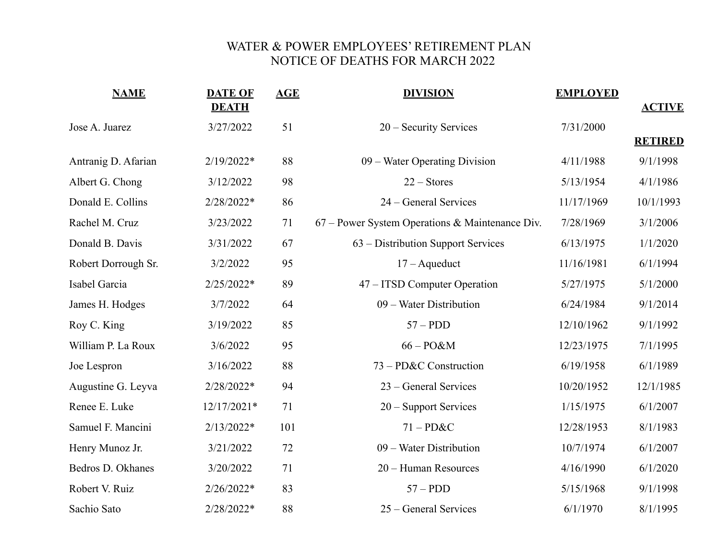## WATER & POWER EMPLOYEES' RETIREMENT PLAN NOTICE OF DEATHS FOR MARCH 2022

| <b>NAME</b>         | <b>DATE OF</b><br><b>DEATH</b> | AGE | <b>DIVISION</b>                                 | <b>EMPLOYED</b> | <b>ACTIVE</b>  |
|---------------------|--------------------------------|-----|-------------------------------------------------|-----------------|----------------|
| Jose A. Juarez      | 3/27/2022                      | 51  | 20 – Security Services                          | 7/31/2000       | <b>RETIRED</b> |
| Antranig D. Afarian | 2/19/2022*                     | 88  | 09 – Water Operating Division                   | 4/11/1988       | 9/1/1998       |
| Albert G. Chong     | 3/12/2022                      | 98  | $22 -$ Stores                                   | 5/13/1954       | 4/1/1986       |
| Donald E. Collins   | 2/28/2022*                     | 86  | 24 – General Services                           | 11/17/1969      | 10/1/1993      |
| Rachel M. Cruz      | 3/23/2022                      | 71  | 67 – Power System Operations & Maintenance Div. | 7/28/1969       | 3/1/2006       |
| Donald B. Davis     | 3/31/2022                      | 67  | 63 – Distribution Support Services              | 6/13/1975       | 1/1/2020       |
| Robert Dorrough Sr. | 3/2/2022                       | 95  | $17 - A$ queduct                                | 11/16/1981      | 6/1/1994       |
| Isabel Garcia       | $2/25/2022*$                   | 89  | 47 – ITSD Computer Operation                    | 5/27/1975       | 5/1/2000       |
| James H. Hodges     | 3/7/2022                       | 64  | 09 – Water Distribution                         | 6/24/1984       | 9/1/2014       |
| Roy C. King         | 3/19/2022                      | 85  | $57 - PDD$                                      | 12/10/1962      | 9/1/1992       |
| William P. La Roux  | 3/6/2022                       | 95  | $66 - PO&M$                                     | 12/23/1975      | 7/1/1995       |
| Joe Lespron         | 3/16/2022                      | 88  | 73 – PD&C Construction                          | 6/19/1958       | 6/1/1989       |
| Augustine G. Leyva  | 2/28/2022*                     | 94  | 23 – General Services                           | 10/20/1952      | 12/1/1985      |
| Renee E. Luke       | 12/17/2021*                    | 71  | 20 - Support Services                           | 1/15/1975       | 6/1/2007       |
| Samuel F. Mancini   | $2/13/2022*$                   | 101 | $71 - PD&C$                                     | 12/28/1953      | 8/1/1983       |
| Henry Munoz Jr.     | 3/21/2022                      | 72  | 09 – Water Distribution                         | 10/7/1974       | 6/1/2007       |
| Bedros D. Okhanes   | 3/20/2022                      | 71  | 20 – Human Resources                            | 4/16/1990       | 6/1/2020       |
| Robert V. Ruiz      | 2/26/2022*                     | 83  | $57 - PDD$                                      | 5/15/1968       | 9/1/1998       |
| Sachio Sato         | 2/28/2022*                     | 88  | 25 – General Services                           | 6/1/1970        | 8/1/1995       |